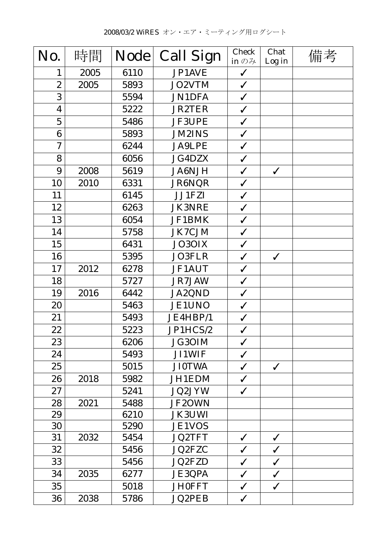| No.                     | 時間   | <b>Node</b> | <b>Call Sign</b> | <b>Check</b><br>in $\mathcal{D}$ $\mathcal{H}$ | Chat<br>Log in | 備考 |
|-------------------------|------|-------------|------------------|------------------------------------------------|----------------|----|
| 1                       | 2005 | 6110        | JP1AVE           | $\checkmark$                                   |                |    |
| $\overline{2}$          | 2005 | 5893        | JO2VTM           | $\checkmark$                                   |                |    |
| 3                       |      | 5594        | <b>JN1DFA</b>    | $\checkmark$                                   |                |    |
| $\overline{\mathbf{4}}$ |      | 5222        | <b>JR2TER</b>    | $\checkmark$                                   |                |    |
| $\overline{5}$          |      | 5486        | <b>JF3UPE</b>    | $\checkmark$                                   |                |    |
| 6                       |      | 5893        | <b>JM2INS</b>    | $\checkmark$                                   |                |    |
| $\overline{7}$          |      | 6244        | <b>JA9LPE</b>    | $\checkmark$                                   |                |    |
| 8                       |      | 6056        | <b>JG4DZX</b>    | $\checkmark$                                   |                |    |
| 9                       | 2008 | 5619        | <b>JA6NJH</b>    | $\checkmark$                                   | $\checkmark$   |    |
| 10                      | 2010 | 6331        | JR6NQR           | $\checkmark$                                   |                |    |
| 11                      |      | 6145        | JJ1FZI           | $\checkmark$                                   |                |    |
| 12                      |      | 6263        | <b>JK3NRE</b>    | $\checkmark$                                   |                |    |
| 13                      |      | 6054        | JF1BMK           | $\checkmark$                                   |                |    |
| 14                      |      | 5758        | <b>JK7CJM</b>    | $\checkmark$                                   |                |    |
| 15                      |      | 6431        | JO3OIX           | $\checkmark$                                   |                |    |
| 16                      |      | 5395        | <b>JO3FLR</b>    | $\checkmark$                                   | $\checkmark$   |    |
| 17                      | 2012 | 6278        | <b>JF1AUT</b>    | $\checkmark$                                   |                |    |
| 18                      |      | 5727        | JR7JAW           | $\checkmark$                                   |                |    |
| 19                      | 2016 | 6442        | JA2QND           | $\checkmark$                                   |                |    |
| 20                      |      | 5463        | <b>JE1UNO</b>    | $\checkmark$                                   |                |    |
| 21                      |      | 5493        | JE4HBP/1         | $\checkmark$                                   |                |    |
| 22                      |      | 5223        | JP1HCS/2         | $\checkmark$                                   |                |    |
| 23                      |      | 6206        | JG30IM           | $\checkmark$                                   |                |    |
| 24                      |      | 5493        | <b>JI1WIF</b>    | $\checkmark$                                   |                |    |
| 25                      |      | 5015        | <b>JI0TWA</b>    | $\checkmark$                                   | $\checkmark$   |    |
| 26                      | 2018 | 5982        | JH1EDM           | $\checkmark$                                   |                |    |
| 27                      |      | 5241        | JQ2JYW           | $\checkmark$                                   |                |    |
| 28                      | 2021 | 5488        | JF2OWN           |                                                |                |    |
| 29                      |      | 6210        | <b>JK3UWI</b>    |                                                |                |    |
| 30                      |      | 5290        | <b>JE1VOS</b>    |                                                |                |    |
| 31                      | 2032 | 5454        | <b>JQ2TFT</b>    | $\checkmark$                                   | $\checkmark$   |    |
| 32                      |      | 5456        | <b>JQ2FZC</b>    | $\checkmark$                                   | $\checkmark$   |    |
| 33                      |      | 5456        | <b>JQ2FZD</b>    | $\checkmark$                                   | $\checkmark$   |    |
| 34                      | 2035 | 6277        | <b>JE3QPA</b>    | $\checkmark$                                   | $\checkmark$   |    |
| 35                      |      | 5018        | <b>JH0FFT</b>    | $\checkmark$                                   | $\checkmark$   |    |
| 36                      | 2038 | 5786        | <b>JQ2PEB</b>    | $\checkmark$                                   |                |    |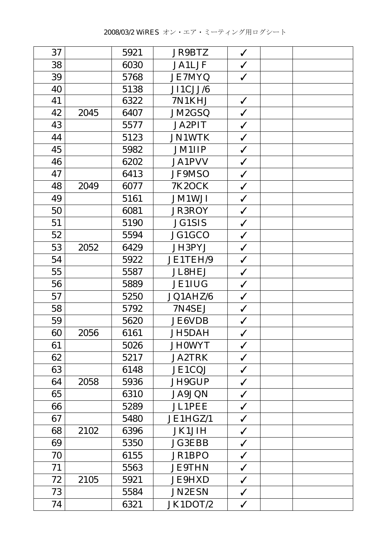| 37 |      | 5921 | <b>JR9BTZ</b> | $\checkmark$ |  |
|----|------|------|---------------|--------------|--|
| 38 |      | 6030 | <b>JA1LJF</b> | $\checkmark$ |  |
| 39 |      | 5768 | <b>JE7MYQ</b> | $\checkmark$ |  |
| 40 |      | 5138 | JI1CJJ/6      |              |  |
| 41 |      | 6322 | 7N1KHJ        | $\checkmark$ |  |
| 42 | 2045 | 6407 | JM2GSQ        | $\checkmark$ |  |
| 43 |      | 5577 | <b>JA2PIT</b> | $\checkmark$ |  |
| 44 |      | 5123 | <b>JN1WTK</b> | $\checkmark$ |  |
| 45 |      | 5982 | <b>JM1IIP</b> | $\checkmark$ |  |
| 46 |      | 6202 | <b>JA1PVV</b> | $\checkmark$ |  |
| 47 |      | 6413 | JF9MSO        | $\checkmark$ |  |
| 48 | 2049 | 6077 | <b>7K2OCK</b> | $\checkmark$ |  |
| 49 |      | 5161 | <b>JM1WJI</b> | $\checkmark$ |  |
| 50 |      | 6081 | <b>JR3ROY</b> | $\checkmark$ |  |
| 51 |      | 5190 | <b>JG1SIS</b> | $\checkmark$ |  |
| 52 |      | 5594 | JG1GCO        | $\checkmark$ |  |
| 53 | 2052 | 6429 | JH3PYJ        | $\checkmark$ |  |
| 54 |      | 5922 | JE1TEH/9      | $\checkmark$ |  |
| 55 |      | 5587 | <b>JL8HEJ</b> | $\checkmark$ |  |
| 56 |      | 5889 | <b>JE1IUG</b> | $\checkmark$ |  |
| 57 |      | 5250 | JQ1AHZ/6      | $\checkmark$ |  |
| 58 |      | 5792 | 7N4SEJ        | $\checkmark$ |  |
| 59 |      | 5620 | <b>JE6VDB</b> | $\checkmark$ |  |
| 60 | 2056 | 6161 | JH5DAH        | ✓            |  |
| 61 |      | 5026 | <b>JH0WYT</b> | $\checkmark$ |  |
| 62 |      | 5217 | <b>JA2TRK</b> | $\checkmark$ |  |
| 63 |      | 6148 | JE1CQJ        | $\checkmark$ |  |
| 64 | 2058 | 5936 | JH9GUP        | $\checkmark$ |  |
| 65 |      | 6310 | <b>JA9JQN</b> | $\checkmark$ |  |
| 66 |      | 5289 | <b>JL1PEE</b> | $\checkmark$ |  |
| 67 |      | 5480 | JE1HGZ/1      | $\checkmark$ |  |
| 68 | 2102 | 6396 | <b>JK1JIH</b> | $\checkmark$ |  |
| 69 |      | 5350 | <b>JG3EBB</b> | $\checkmark$ |  |
| 70 |      | 6155 | JR1BPO        | $\checkmark$ |  |
| 71 |      | 5563 | <b>JE9THN</b> | $\checkmark$ |  |
| 72 | 2105 | 5921 | <b>JE9HXD</b> | $\checkmark$ |  |
| 73 |      | 5584 | <b>JN2ESN</b> | $\checkmark$ |  |
| 74 |      | 6321 | JK1DOT/2      | $\checkmark$ |  |